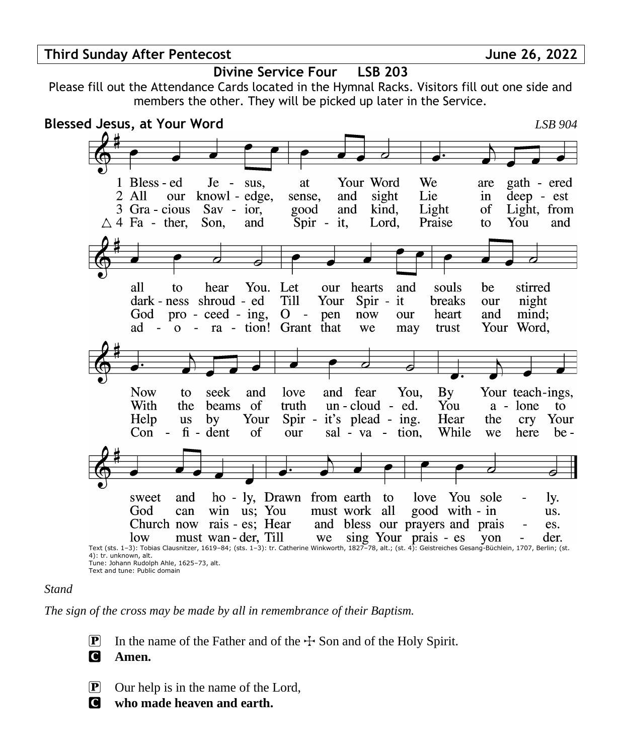#### **Third Sunday After Pentecost June 26, 2022**



#### *Stand*

*The sign of the cross may be made by all in remembrance of their Baptism.*

**P** In the name of the Father and of the  $\pm$  Son and of the Holy Spirit.

### C **Amen.**

- $\mathbf{P}$  Our help is in the name of the Lord,
- C **who made heaven and earth.**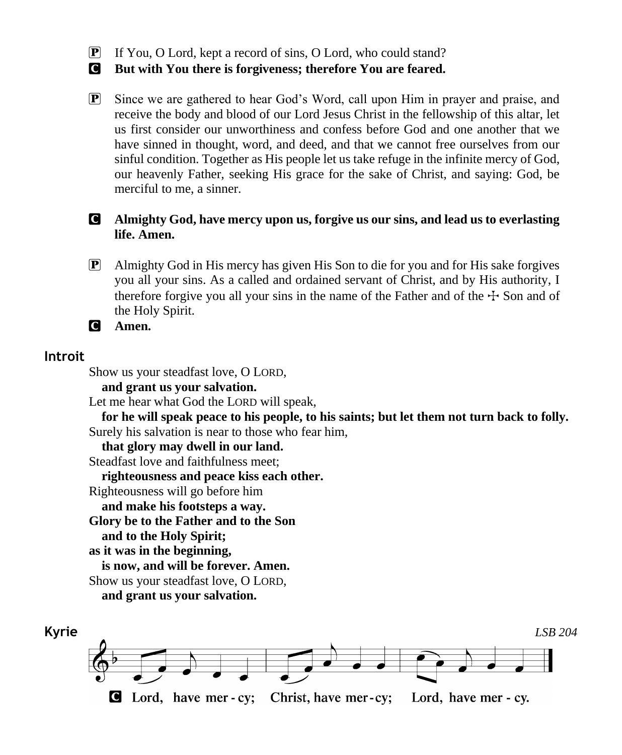P If You, O Lord, kept a record of sins, O Lord, who could stand?

C **But with You there is forgiveness; therefore You are feared.**

P Since we are gathered to hear God's Word, call upon Him in prayer and praise, and receive the body and blood of our Lord Jesus Christ in the fellowship of this altar, let us first consider our unworthiness and confess before God and one another that we have sinned in thought, word, and deed, and that we cannot free ourselves from our sinful condition. Together as His people let us take refuge in the infinite mercy of God, our heavenly Father, seeking His grace for the sake of Christ, and saying: God, be merciful to me, a sinner.

#### C **Almighty God, have mercy upon us, forgive us our sins, and lead us to everlasting life. Amen.**

P Almighty God in His mercy has given His Son to die for you and for His sake forgives you all your sins. As a called and ordained servant of Christ, and by His authority, I therefore forgive you all your sins in the name of the Father and of the  $\pm$  Son and of the Holy Spirit.

C **Amen.**

#### **Introit**

Show us your steadfast love, O LORD,

**and grant us your salvation.**

Let me hear what God the LORD will speak,

**for he will speak peace to his people, to his saints; but let them not turn back to folly.** Surely his salvation is near to those who fear him,

**that glory may dwell in our land.**

Steadfast love and faithfulness meet;

**righteousness and peace kiss each other.**

Righteousness will go before him

**and make his footsteps a way.**

**Glory be to the Father and to the Son**

**and to the Holy Spirit;**

**as it was in the beginning,**

**is now, and will be forever. Amen.**

Show us your steadfast love, O LORD,

**and grant us your salvation.**

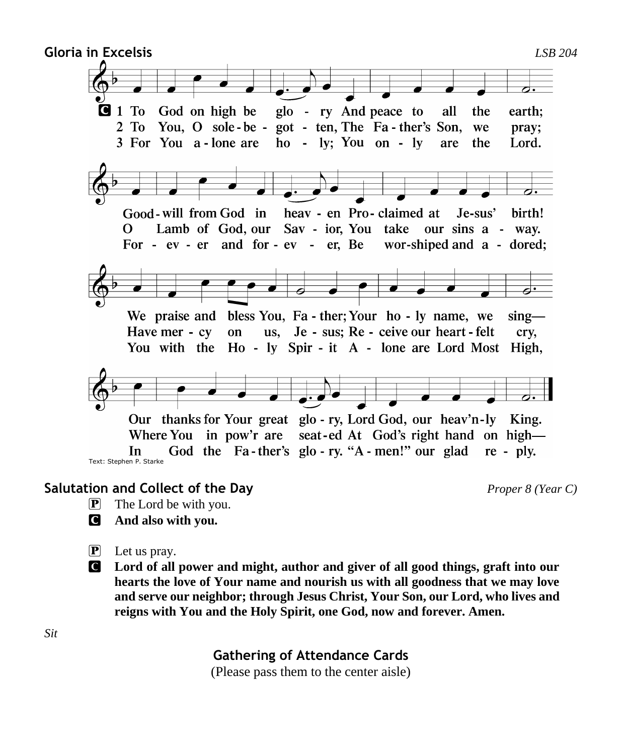

## **Salutation and Collect of the Day** *Proper 8 (Year C)*

- P The Lord be with you.
- C **And also with you.**
- P Let us pray.
- C **Lord of all power and might, author and giver of all good things, graft into our hearts the love of Your name and nourish us with all goodness that we may love and serve our neighbor; through Jesus Christ, Your Son, our Lord, who lives and reigns with You and the Holy Spirit, one God, now and forever. Amen.**

**Gathering of Attendance Cards**

(Please pass them to the center aisle)

*Sit*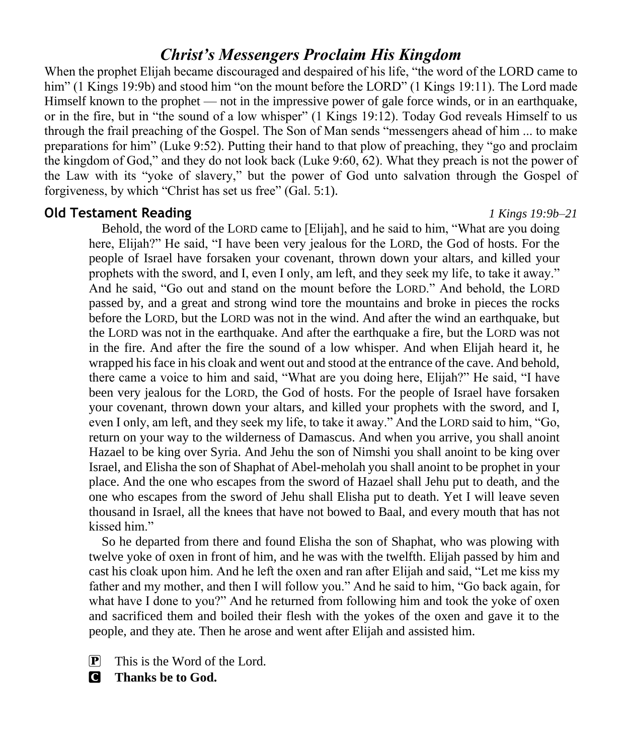# *Christ's Messengers Proclaim His Kingdom*

When the prophet Elijah became discouraged and despaired of his life, "the word of the LORD came to him" (1 Kings 19:9b) and stood him "on the mount before the LORD" (1 Kings 19:11). The Lord made Himself known to the prophet — not in the impressive power of gale force winds, or in an earthquake, or in the fire, but in "the sound of a low whisper" (1 Kings 19:12). Today God reveals Himself to us through the frail preaching of the Gospel. The Son of Man sends "messengers ahead of him ... to make preparations for him" (Luke 9:52). Putting their hand to that plow of preaching, they "go and proclaim the kingdom of God," and they do not look back (Luke 9:60, 62). What they preach is not the power of the Law with its "yoke of slavery," but the power of God unto salvation through the Gospel of forgiveness, by which "Christ has set us free" (Gal. 5:1).

#### **Old Testament Reading** *1 Kings 19:9b–21*

Behold, the word of the LORD came to [Elijah], and he said to him, "What are you doing here, Elijah?" He said, "I have been very jealous for the LORD, the God of hosts. For the people of Israel have forsaken your covenant, thrown down your altars, and killed your prophets with the sword, and I, even I only, am left, and they seek my life, to take it away." And he said, "Go out and stand on the mount before the LORD." And behold, the LORD passed by, and a great and strong wind tore the mountains and broke in pieces the rocks before the LORD, but the LORD was not in the wind. And after the wind an earthquake, but the LORD was not in the earthquake. And after the earthquake a fire, but the LORD was not in the fire. And after the fire the sound of a low whisper. And when Elijah heard it, he wrapped his face in his cloak and went out and stood at the entrance of the cave. And behold, there came a voice to him and said, "What are you doing here, Elijah?" He said, "I have been very jealous for the LORD, the God of hosts. For the people of Israel have forsaken your covenant, thrown down your altars, and killed your prophets with the sword, and I, even I only, am left, and they seek my life, to take it away." And the LORD said to him, "Go, return on your way to the wilderness of Damascus. And when you arrive, you shall anoint Hazael to be king over Syria. And Jehu the son of Nimshi you shall anoint to be king over Israel, and Elisha the son of Shaphat of Abel-meholah you shall anoint to be prophet in your place. And the one who escapes from the sword of Hazael shall Jehu put to death, and the one who escapes from the sword of Jehu shall Elisha put to death. Yet I will leave seven thousand in Israel, all the knees that have not bowed to Baal, and every mouth that has not kissed him."

So he departed from there and found Elisha the son of Shaphat, who was plowing with twelve yoke of oxen in front of him, and he was with the twelfth. Elijah passed by him and cast his cloak upon him. And he left the oxen and ran after Elijah and said, "Let me kiss my father and my mother, and then I will follow you." And he said to him, "Go back again, for what have I done to you?" And he returned from following him and took the yoke of oxen and sacrificed them and boiled their flesh with the yokes of the oxen and gave it to the people, and they ate. Then he arose and went after Elijah and assisted him.

P This is the Word of the Lord.

C **Thanks be to God.**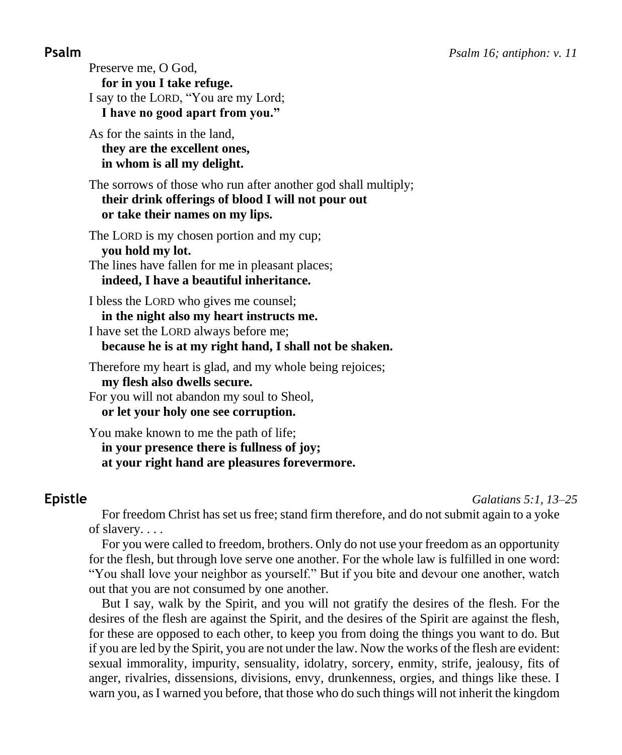Preserve me, O God, **for in you I take refuge.** I say to the LORD, "You are my Lord; **I have no good apart from you."**

As for the saints in the land, **they are the excellent ones, in whom is all my delight.**

The sorrows of those who run after another god shall multiply; **their drink offerings of blood I will not pour out or take their names on my lips.**

The LORD is my chosen portion and my cup; **you hold my lot.** The lines have fallen for me in pleasant places; **indeed, I have a beautiful inheritance.**

I bless the LORD who gives me counsel; **in the night also my heart instructs me.** I have set the LORD always before me;

**because he is at my right hand, I shall not be shaken.**

Therefore my heart is glad, and my whole being rejoices; **my flesh also dwells secure.**

For you will not abandon my soul to Sheol,

**or let your holy one see corruption.**

You make known to me the path of life; **in your presence there is fullness of joy; at your right hand are pleasures forevermore.**

**Epistle** *Galatians 5:1, 13–25*

For freedom Christ has set us free; stand firm therefore, and do not submit again to a yoke of slavery. . . .

For you were called to freedom, brothers. Only do not use your freedom as an opportunity for the flesh, but through love serve one another. For the whole law is fulfilled in one word: "You shall love your neighbor as yourself." But if you bite and devour one another, watch out that you are not consumed by one another.

But I say, walk by the Spirit, and you will not gratify the desires of the flesh. For the desires of the flesh are against the Spirit, and the desires of the Spirit are against the flesh, for these are opposed to each other, to keep you from doing the things you want to do. But if you are led by the Spirit, you are not under the law. Now the works of the flesh are evident: sexual immorality, impurity, sensuality, idolatry, sorcery, enmity, strife, jealousy, fits of anger, rivalries, dissensions, divisions, envy, drunkenness, orgies, and things like these. I warn you, as I warned you before, that those who do such things will not inherit the kingdom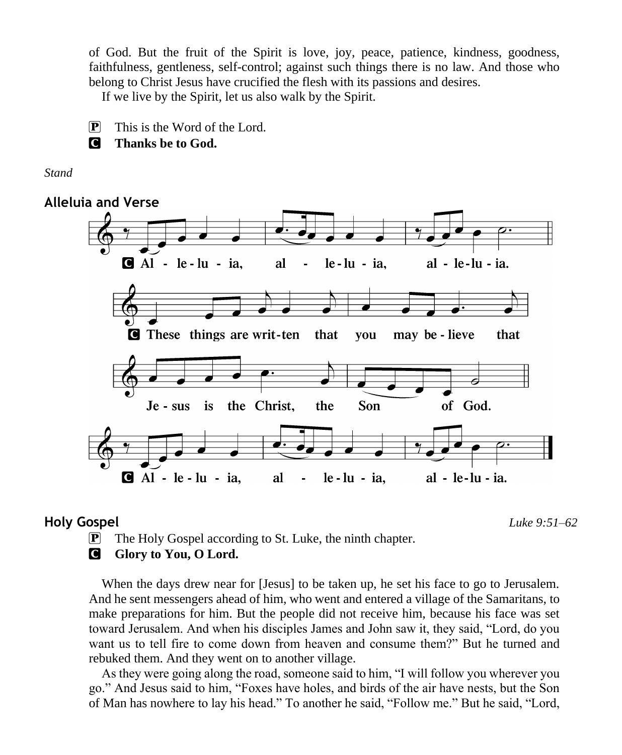of God. But the fruit of the Spirit is love, joy, peace, patience, kindness, goodness, faithfulness, gentleness, self-control; against such things there is no law. And those who belong to Christ Jesus have crucified the flesh with its passions and desires.

If we live by the Spirit, let us also walk by the Spirit.

 $\mathbf{P}$  This is the Word of the Lord.

C **Thanks be to God.**

*Stand*

#### **Alleluia and Verse**



#### **Holy Gospel** *Luke 9:51–62*

P The Holy Gospel according to St. Luke, the ninth chapter.

#### **G** Glory to You, O Lord.

When the days drew near for [Jesus] to be taken up, he set his face to go to Jerusalem. And he sent messengers ahead of him, who went and entered a village of the Samaritans, to make preparations for him. But the people did not receive him, because his face was set toward Jerusalem. And when his disciples James and John saw it, they said, "Lord, do you want us to tell fire to come down from heaven and consume them?" But he turned and rebuked them. And they went on to another village.

As they were going along the road, someone said to him, "I will follow you wherever you go." And Jesus said to him, "Foxes have holes, and birds of the air have nests, but the Son of Man has nowhere to lay his head." To another he said, "Follow me." But he said, "Lord,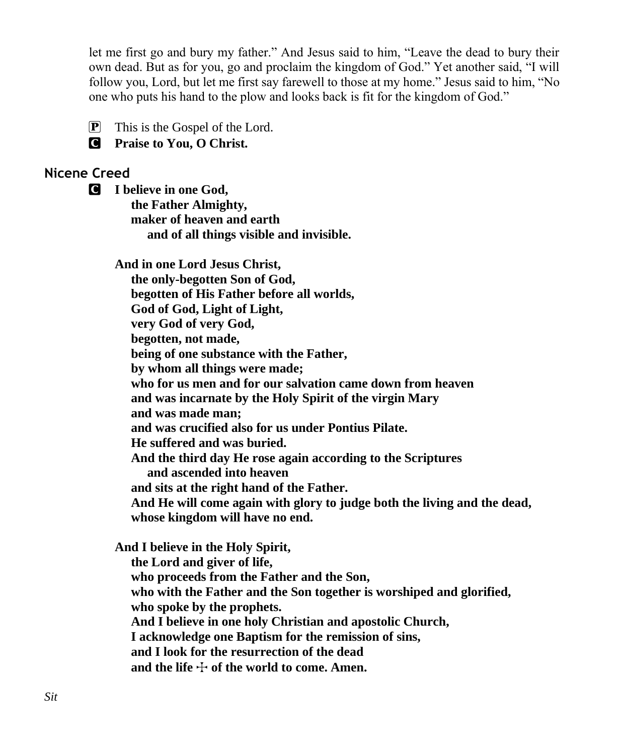let me first go and bury my father." And Jesus said to him, "Leave the dead to bury their own dead. But as for you, go and proclaim the kingdom of God." Yet another said, "I will follow you, Lord, but let me first say farewell to those at my home." Jesus said to him, "No one who puts his hand to the plow and looks back is fit for the kingdom of God."

 $\boxed{\mathbf{P}}$  This is the Gospel of the Lord.

C **Praise to You, O Christ.**

# **Nicene Creed**

C **I believe in one God, the Father Almighty, maker of heaven and earth and of all things visible and invisible.**

**And in one Lord Jesus Christ,**

 **the only-begotten Son of God, begotten of His Father before all worlds, God of God, Light of Light, very God of very God, begotten, not made, being of one substance with the Father, by whom all things were made; who for us men and for our salvation came down from heaven and was incarnate by the Holy Spirit of the virgin Mary and was made man; and was crucified also for us under Pontius Pilate. He suffered and was buried. And the third day He rose again according to the Scriptures and ascended into heaven and sits at the right hand of the Father. And He will come again with glory to judge both the living and the dead, whose kingdom will have no end.**

**And I believe in the Holy Spirit, the Lord and giver of life, who proceeds from the Father and the Son, who with the Father and the Son together is worshiped and glorified, who spoke by the prophets. And I believe in one holy Christian and apostolic Church, I acknowledge one Baptism for the remission of sins,**

 **and I look for the resurrection of the dead**

and the life  $\div$  of the world to come. Amen.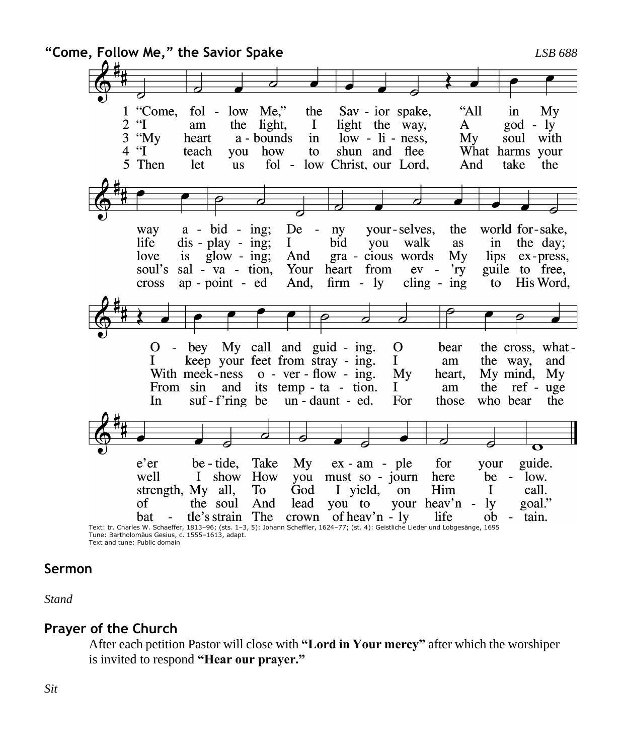

Tune: Bartholomäus Gesius, c. 1555–1613, adapt. Text and tune: Public domain

### **Sermon**

*Stand*

# **Prayer of the Church**

After each petition Pastor will close with **"Lord in Your mercy"** after which the worshiper is invited to respond **"Hear our prayer."**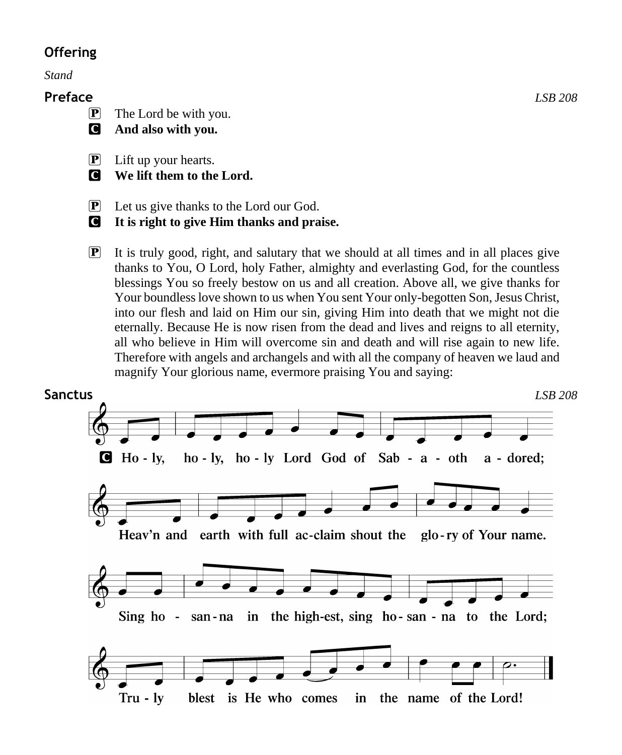## **Offering**

*Stand*

## **Preface** *LSB 208*

- $\left| \mathbf{P} \right|$  The Lord be with you.
- C **And also with you.**
- $\left| \mathbf{P} \right|$  Lift up your hearts.
- C **We lift them to the Lord.**
- P Let us give thanks to the Lord our God.
- C **It is right to give Him thanks and praise.**
- $\mathbb{P}$  It is truly good, right, and salutary that we should at all times and in all places give thanks to You, O Lord, holy Father, almighty and everlasting God, for the countless blessings You so freely bestow on us and all creation. Above all, we give thanks for Your boundless love shown to us when You sent Your only-begotten Son, Jesus Christ, into our flesh and laid on Him our sin, giving Him into death that we might not die eternally. Because He is now risen from the dead and lives and reigns to all eternity, all who believe in Him will overcome sin and death and will rise again to new life. Therefore with angels and archangels and with all the company of heaven we laud and magnify Your glorious name, evermore praising You and saying:

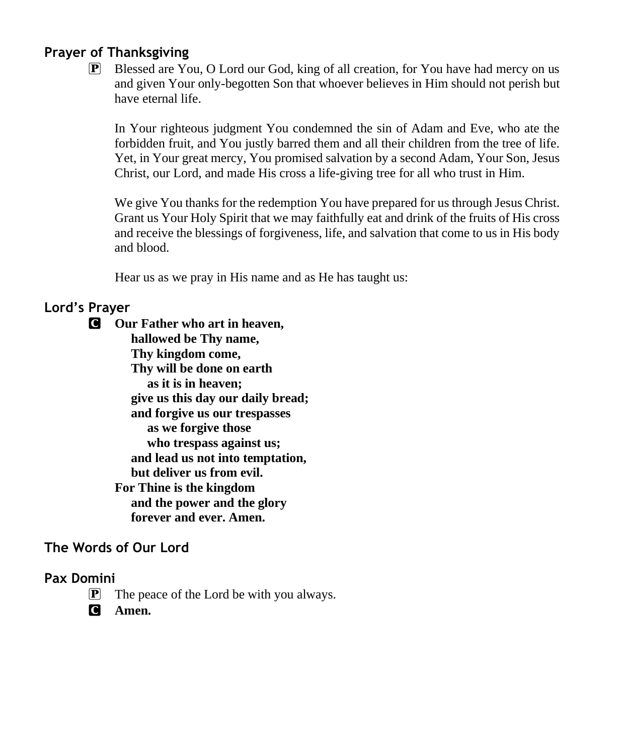# **Prayer of Thanksgiving**

P Blessed are You, O Lord our God, king of all creation, for You have had mercy on us and given Your only-begotten Son that whoever believes in Him should not perish but have eternal life.

In Your righteous judgment You condemned the sin of Adam and Eve, who ate the forbidden fruit, and You justly barred them and all their children from the tree of life. Yet, in Your great mercy, You promised salvation by a second Adam, Your Son, Jesus Christ, our Lord, and made His cross a life-giving tree for all who trust in Him.

We give You thanks for the redemption You have prepared for us through Jesus Christ. Grant us Your Holy Spirit that we may faithfully eat and drink of the fruits of His cross and receive the blessings of forgiveness, life, and salvation that come to us in His body and blood.

Hear us as we pray in His name and as He has taught us:

# **Lord's Prayer**

C **Our Father who art in heaven, hallowed be Thy name, Thy kingdom come, Thy will be done on earth as it is in heaven; give us this day our daily bread; and forgive us our trespasses as we forgive those who trespass against us; and lead us not into temptation, but deliver us from evil. For Thine is the kingdom and the power and the glory forever and ever. Amen.**

# **The Words of Our Lord**

## **Pax Domini**

 $\mathbf{P}$  The peace of the Lord be with you always.

C **Amen.**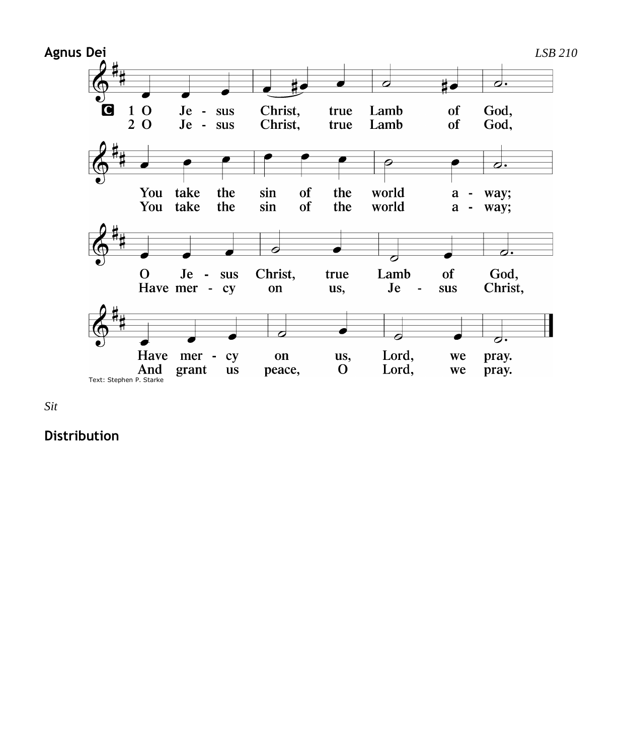



**Distribution**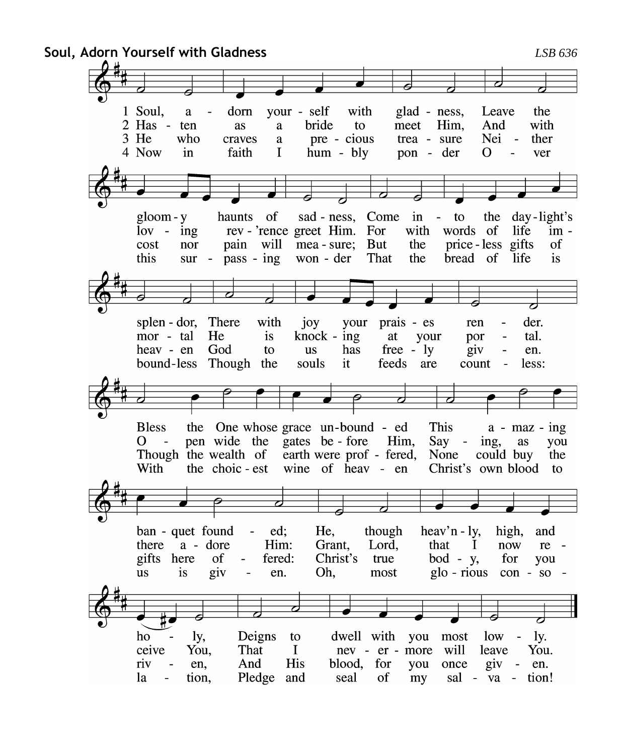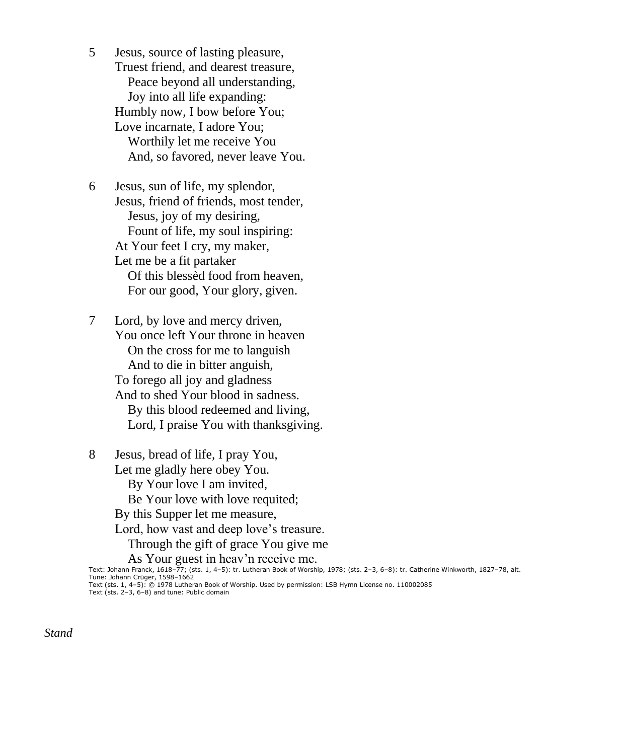5 Jesus, source of lasting pleasure, Truest friend, and dearest treasure, Peace beyond all understanding, Joy into all life expanding: Humbly now, I bow before You; Love incarnate, I adore You; Worthily let me receive You And, so favored, never leave You.

6 Jesus, sun of life, my splendor, Jesus, friend of friends, most tender, Jesus, joy of my desiring, Fount of life, my soul inspiring: At Your feet I cry, my maker, Let me be a fit partaker Of this blessèd food from heaven, For our good, Your glory, given.

7 Lord, by love and mercy driven, You once left Your throne in heaven On the cross for me to languish And to die in bitter anguish, To forego all joy and gladness And to shed Your blood in sadness. By this blood redeemed and living, Lord, I praise You with thanksgiving.

8 Jesus, bread of life, I pray You, Let me gladly here obey You. By Your love I am invited, Be Your love with love requited; By this Supper let me measure, Lord, how vast and deep love's treasure. Through the gift of grace You give me

As Your guest in heav'n receive me.

Text: Johann Franck, 1618–77; (sts. 1, 4–5): tr. Lutheran Book of Worship, 1978; (sts. 2–3, 6–8): tr. Catherine Winkworth, 1827–78, alt. Tune: Johann Crüger, 1598–1662 Text (sts. 1, 4–5): © 1978 Lutheran Book of Worship. Used by permission: LSB Hymn License no. 110002085

Text (sts. 2–3, 6–8) and tune: Public domain

*Stand*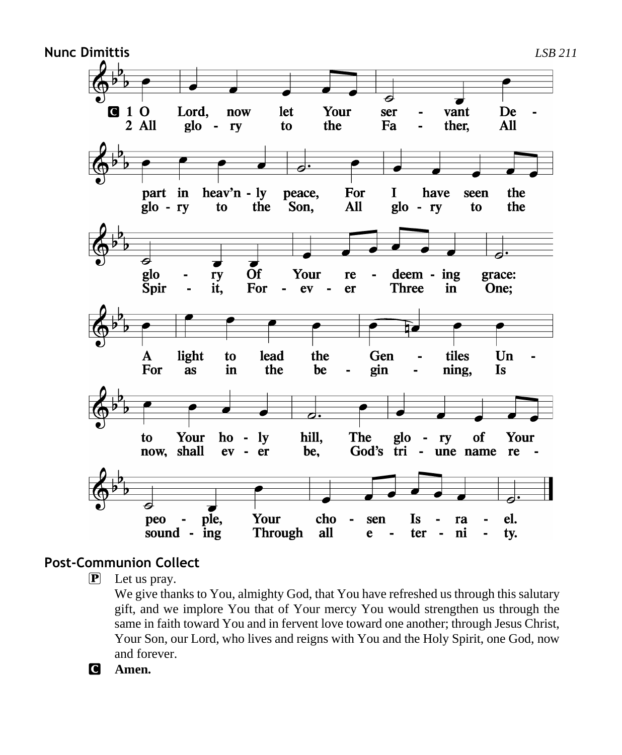

# **Post-Communion Collect**

 $\overline{P}$  Let us pray.

We give thanks to You, almighty God, that You have refreshed us through this salutary gift, and we implore You that of Your mercy You would strengthen us through the same in faith toward You and in fervent love toward one another; through Jesus Christ, Your Son, our Lord, who lives and reigns with You and the Holy Spirit, one God, now and forever.

![](_page_13_Picture_4.jpeg)